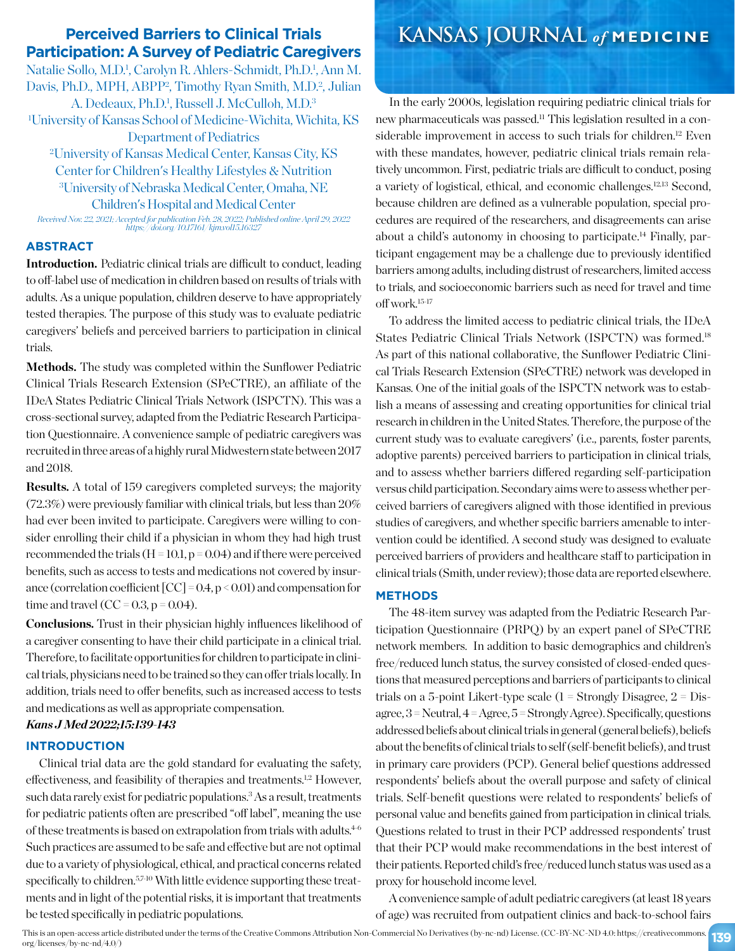# **Participation: A Survey of Pediatric Caregivers**

Natalie Sollo, M.D.<sup>1</sup>, Carolyn R. Ahlers-Schmidt, Ph.D.<sup>1</sup>, Ann M. Davis, Ph.D., MPH, ABPP<sup>2</sup>, Timothy Ryan Smith, M.D.<sup>2</sup>, Julian A. Dedeaux, Ph.D.<sup>1</sup>, Russell J. McCulloh, M.D.<sup>3</sup> 1 University of Kansas School of Medicine-Wichita, Wichita, KS Department of Pediatrics 2 University of Kansas Medical Center, Kansas City, KS Center for Children's Healthy Lifestyles & Nutrition 3 University of Nebraska Medical Center, Omaha, NE

Children's Hospital and Medical Center

*Received Nov. 22, 2021; Accepted for publication Feb. 28, 2022; Published online April 29, 2022 https://doi.org/10.17161/kjm.vol15.16327*

### **ABSTRACT**

**Introduction.** Pediatric clinical trials are difficult to conduct, leading to off-label use of medication in children based on results of trials with adults. As a unique population, children deserve to have appropriately tested therapies. The purpose of this study was to evaluate pediatric caregivers' beliefs and perceived barriers to participation in clinical trials.

Methods. The study was completed within the Sunflower Pediatric Clinical Trials Research Extension (SPeCTRE), an affiliate of the IDeA States Pediatric Clinical Trials Network (ISPCTN). This was a cross-sectional survey, adapted from the Pediatric Research Participation Questionnaire. A convenience sample of pediatric caregivers was recruited in three areas of a highly rural Midwestern state between 2017 and 2018.

**Results.** A total of 159 caregivers completed surveys; the majority (72.3%) were previously familiar with clinical trials, but less than 20% had ever been invited to participate. Caregivers were willing to consider enrolling their child if a physician in whom they had high trust recommended the trials ( $H = 10.1$ ,  $p = 0.04$ ) and if there were perceived benefits, such as access to tests and medications not covered by insurance (correlation coefficient  $[CC] = 0.4$ ,  $p < 0.01$ ) and compensation for time and travel  $(CC = 0.3, p = 0.04)$ .

**Conclusions.** Trust in their physician highly influences likelihood of a caregiver consenting to have their child participate in a clinical trial. Therefore, to facilitate opportunities for children to participate in clinical trials, physicians need to be trained so they can offer trials locally. In addition, trials need to offer benefits, such as increased access to tests and medications as well as appropriate compensation.

# *Kans J Med 2022;15:139-143*

# **INTRODUCTION**

Clinical trial data are the gold standard for evaluating the safety, effectiveness, and feasibility of therapies and treatments.<sup>1,2</sup> However, such data rarely exist for pediatric populations.<sup>3</sup> As a result, treatments for pediatric patients often are prescribed "off label", meaning the use of these treatments is based on extrapolation from trials with adults.<sup>4-6</sup> Such practices are assumed to be safe and effective but are not optimal due to a variety of physiological, ethical, and practical concerns related specifically to children.<sup>5,7-10</sup> With little evidence supporting these treatments and in light of the potential risks, it is important that treatments be tested specifically in pediatric populations.

# **Perceived Barriers to Clinical Trials KANSAS JOURNAL** *of* **MEDICINE**

In the early 2000s, legislation requiring pediatric clinical trials for new pharmaceuticals was passed.11 This legislation resulted in a considerable improvement in access to such trials for children.<sup>12</sup> Even with these mandates, however, pediatric clinical trials remain relatively uncommon. First, pediatric trials are difficult to conduct, posing a variety of logistical, ethical, and economic challenges.12,13 Second, because children are defined as a vulnerable population, special procedures are required of the researchers, and disagreements can arise about a child's autonomy in choosing to participate.<sup>14</sup> Finally, participant engagement may be a challenge due to previously identified barriers among adults, including distrust of researchers, limited access to trials, and socioeconomic barriers such as need for travel and time off work.15-17

To address the limited access to pediatric clinical trials, the IDeA States Pediatric Clinical Trials Network (ISPCTN) was formed.18 As part of this national collaborative, the Sunflower Pediatric Clinical Trials Research Extension (SPeCTRE) network was developed in Kansas. One of the initial goals of the ISPCTN network was to establish a means of assessing and creating opportunities for clinical trial research in children in the United States. Therefore, the purpose of the current study was to evaluate caregivers' (i.e., parents, foster parents, adoptive parents) perceived barriers to participation in clinical trials, and to assess whether barriers differed regarding self-participation versus child participation. Secondary aims were to assess whether perceived barriers of caregivers aligned with those identified in previous studies of caregivers, and whether specific barriers amenable to intervention could be identified. A second study was designed to evaluate perceived barriers of providers and healthcare staff to participation in clinical trials (Smith, under review); those data are reported elsewhere.

## **METHODS**

The 48-item survey was adapted from the Pediatric Research Participation Questionnaire (PRPQ) by an expert panel of SPeCTRE network members. In addition to basic demographics and children's free/reduced lunch status, the survey consisted of closed-ended questions that measured perceptions and barriers of participants to clinical trials on a 5-point Likert-type scale  $(1 -$ Strongly Disagree,  $2 =$  Disagree, 3 = Neutral, 4 = Agree, 5 = Strongly Agree). Specifically, questions addressed beliefs about clinical trials in general (general beliefs), beliefs about the benefits of clinical trials to self (self-benefit beliefs), and trust in primary care providers (PCP). General belief questions addressed respondents' beliefs about the overall purpose and safety of clinical trials. Self-benefit questions were related to respondents' beliefs of personal value and benefits gained from participation in clinical trials. Questions related to trust in their PCP addressed respondents' trust that their PCP would make recommendations in the best interest of their patients. Reported child's free/reduced lunch status was used as a proxy for household income level.

A convenience sample of adult pediatric caregivers (at least 18 years of age) was recruited from outpatient clinics and back-to-school fairs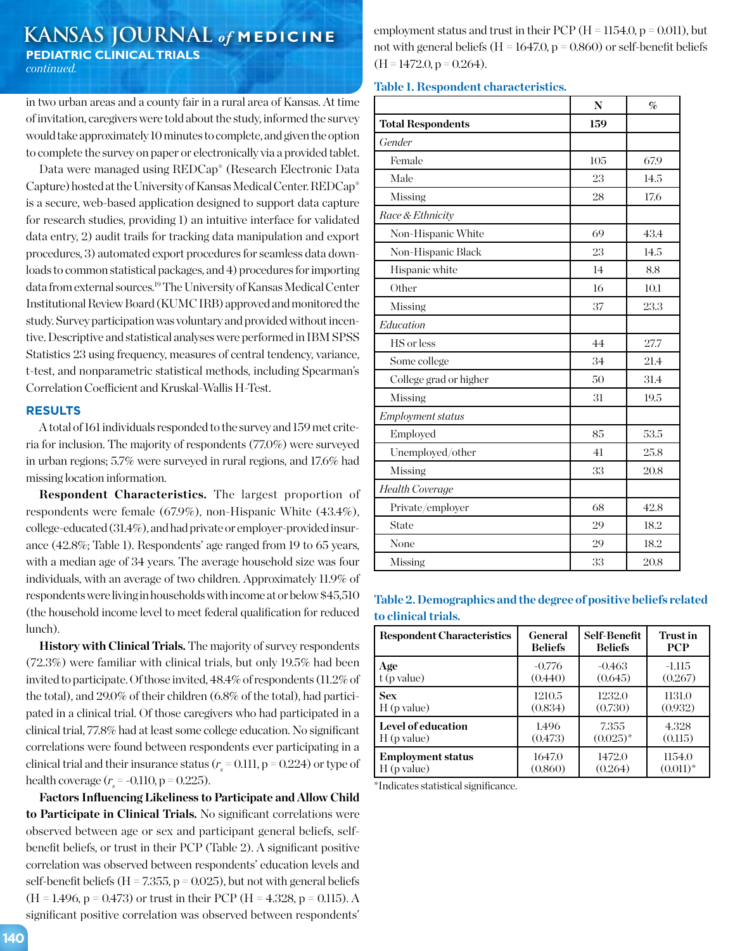# **KANSAS JOURNAL** *of* **MEDICINE PEDIATRIC CLINICAL TRIALS**  *continued.*

in two urban areas and a county fair in a rural area of Kansas. At time of invitation, caregivers were told about the study, informed the survey would take approximately 10 minutes to complete, and given the option to complete the survey on paper or electronically via a provided tablet.

Data were managed using REDCap® (Research Electronic Data Capture) hosted at the University of Kansas Medical Center. REDCap® is a secure, web-based application designed to support data capture for research studies, providing 1) an intuitive interface for validated data entry, 2) audit trails for tracking data manipulation and export procedures, 3) automated export procedures for seamless data downloads to common statistical packages, and 4) procedures for importing data from external sources.19 The University of Kansas Medical Center Institutional Review Board (KUMC IRB) approved and monitored the study. Survey participation was voluntary and provided without incentive. Descriptive and statistical analyses were performed in IBM SPSS Statistics 23 using frequency, measures of central tendency, variance, t-test, and nonparametric statistical methods, including Spearman's Correlation Coefficient and Kruskal-Wallis H-Test.

### **RESULTS**

A total of 161 individuals responded to the survey and 159 met criteria for inclusion. The majority of respondents (77.0%) were surveyed in urban regions; 5.7% were surveyed in rural regions, and 17.6% had missing location information.

**Respondent Characteristics.** The largest proportion of respondents were female (67.9%), non-Hispanic White (43.4%), college-educated (31.4%), and had private or employer-provided insurance (42.8%; Table 1). Respondents' age ranged from 19 to 65 years, with a median age of 34 years. The average household size was four individuals, with an average of two children. Approximately 11.9% of respondents were living in households with income at or below \$45,510 (the household income level to meet federal qualification for reduced lunch).

**History with Clinical Trials.** The majority of survey respondents (72.3%) were familiar with clinical trials, but only 19.5% had been invited to participate. Of those invited, 48.4% of respondents (11.2% of the total), and 29.0% of their children (6.8% of the total), had participated in a clinical trial. Of those caregivers who had participated in a clinical trial, 77.8% had at least some college education. No significant correlations were found between respondents ever participating in a clinical trial and their insurance status ( $r<sub>s</sub>$  = 0.111, p = 0.224) or type of health coverage  $(r_s = -0.110, p = 0.225)$ .

**Factors Influencing Likeliness to Participate and Allow Child to Participate in Clinical Trials.** No significant correlations were observed between age or sex and participant general beliefs, selfbenefit beliefs, or trust in their PCP (Table 2). A significant positive correlation was observed between respondents' education levels and self-benefit beliefs ( $H = 7.355$ ,  $p = 0.025$ ), but not with general beliefs  $(H = 1.496, p = 0.473)$  or trust in their PCP  $(H = 4.328, p = 0.115)$ . A significant positive correlation was observed between respondents'

employment status and trust in their PCP ( $H = 1154.0$ ,  $p = 0.011$ ), but not with general beliefs ( $H = 1647.0$ ,  $p = 0.860$ ) or self-benefit beliefs  $(H = 1472.0, p = 0.264).$ 

# **Table 1. Respondent characteristics.**

|                          | N   | $\%$ |
|--------------------------|-----|------|
| <b>Total Respondents</b> | 159 |      |
| Gender                   |     |      |
| Female                   | 105 | 67.9 |
| Male                     | 23  | 14.5 |
| Missing                  | 28  | 17.6 |
| Race & Ethnicity         |     |      |
| Non-Hispanic White       | 69  | 43.4 |
| Non-Hispanic Black       | 23  | 14.5 |
| Hispanic white           | 14  | 8.8  |
| Other                    | 16  | 10.1 |
| Missing                  | 37  | 23.3 |
| Education                |     |      |
| HS or less               | 44  | 27.7 |
| Some college             | 34  | 21.4 |
| College grad or higher   | 50  | 31.4 |
| Missing                  | 31  | 19.5 |
| Employment status        |     |      |
| Employed                 | 85  | 53.5 |
| Unemployed/other         | 41  | 25.8 |
| Missing                  | 33  | 20.8 |
| <b>Health Coverage</b>   |     |      |
| Private/employer         | 68  | 42.8 |
| State                    | 29  | 18.2 |
| None                     | 29  | 18.2 |
| Missing                  | 33  | 20.8 |

# **Table 2. Demographics and the degree of positive beliefs related to clinical trials.**

| <b>Respondent Characteristics</b> | General        | Self-Benefit   | Trust in    |
|-----------------------------------|----------------|----------------|-------------|
|                                   | <b>Beliefs</b> | <b>Beliefs</b> | <b>PCP</b>  |
| Age                               | $-0.776$       | -0.463         | -1.115      |
| $\pm$ (p value)                   | (0.440)        | (0.645)        | (0.267)     |
| <b>Sex</b>                        | 1210.5         | 1232.0         | 1131.0      |
| H(p value)                        | (0.834)        | (0.730)        | (0.932)     |
| Level of education                | 1.496          | 7.355          | 4.328       |
| H(p value)                        | (0.473)        | $(0.025)^{*}$  | (0.115)     |
| <b>Employment status</b>          | 1647.0         | 1472.0         | 1154.0      |
| $H$ (p value)                     | (0.860)        | (0.264)        | $(0.011)^*$ |

\*Indicates statistical significance.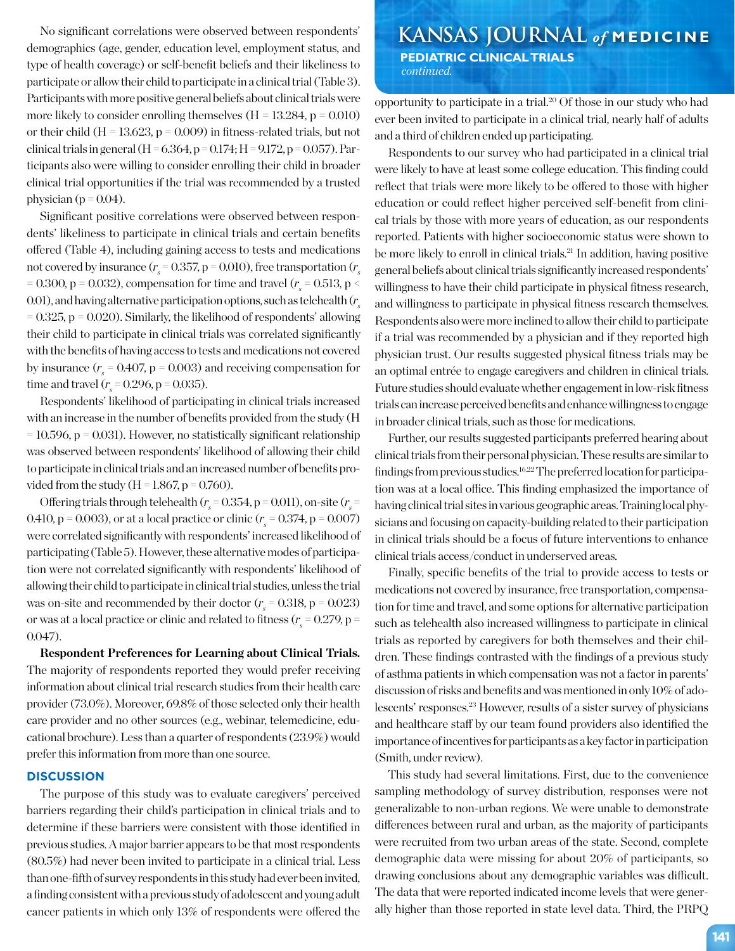demographics (age, gender, education level, employment status, and type of health coverage) or self-benefit beliefs and their likeliness to participate or allow their child to participate in a clinical trial (Table 3). Participants with more positive general beliefs about clinical trials were more likely to consider enrolling themselves  $(H = 13.284, p = 0.010)$ or their child ( $H = 13.623$ ,  $p = 0.009$ ) in fitness-related trials, but not clinical trials in general (H =  $6.364$ , p =  $0.174$ ; H =  $9.172$ , p =  $0.057$ ). Participants also were willing to consider enrolling their child in broader clinical trial opportunities if the trial was recommended by a trusted physician ( $p = 0.04$ ).

Significant positive correlations were observed between respondents' likeliness to participate in clinical trials and certain benefits offered (Table 4), including gaining access to tests and medications not covered by insurance ( $r_s$  = 0.357, p = 0.010), free transportation ( $r_s$ = 0.300, p = 0.032), compensation for time and travel ( $r_s$  = 0.513, p < 0.01), and having alternative participation options, such as telehealth (*rs*  $= 0.325$ ,  $p = 0.020$ ). Similarly, the likelihood of respondents' allowing their child to participate in clinical trials was correlated significantly with the benefits of having access to tests and medications not covered by insurance  $(r_s = 0.407, p = 0.003)$  and receiving compensation for time and travel  $(r_s = 0.296, p = 0.035)$ .

Respondents' likelihood of participating in clinical trials increased with an increase in the number of benefits provided from the study (H  $= 10.596$ ,  $p = 0.031$ ). However, no statistically significant relationship was observed between respondents' likelihood of allowing their child to participate in clinical trials and an increased number of benefits provided from the study ( $H = 1.867$ ,  $p = 0.760$ ).

Offering trials through telehealth ( $r_s$  = 0.354, p = 0.011), on-site ( $r_s$  = 0.410, p = 0.003), or at a local practice or clinic ( $r_s$  = 0.374, p = 0.007) were correlated significantly with respondents' increased likelihood of participating (Table 5). However, these alternative modes of participation were not correlated significantly with respondents' likelihood of allowing their child to participate in clinical trial studies, unless the trial was on-site and recommended by their doctor  $(r_s = 0.318, p = 0.023)$ or was at a local practice or clinic and related to fitness ( $r_{\rm s}$  = 0.279, p = 0.047).

**Respondent Preferences for Learning about Clinical Trials.** The majority of respondents reported they would prefer receiving information about clinical trial research studies from their health care provider (73.0%). Moreover, 69.8% of those selected only their health care provider and no other sources (e.g., webinar, telemedicine, educational brochure). Less than a quarter of respondents (23.9%) would prefer this information from more than one source.

#### **DISCUSSION**

The purpose of this study was to evaluate caregivers' perceived barriers regarding their child's participation in clinical trials and to determine if these barriers were consistent with those identified in previous studies. A major barrier appears to be that most respondents (80.5%) had never been invited to participate in a clinical trial. Less than one-fifth of survey respondents in this study had ever been invited, a finding consistent with a previous study of adolescent and young adult cancer patients in which only 13% of respondents were offered the

No significant correlations were observed between respondents' **KANSAS JOURNAL** of MEDICINE  **PEDIATRIC CLINICAL TRIALS**   *continued.*

> opportunity to participate in a trial.20 Of those in our study who had ever been invited to participate in a clinical trial, nearly half of adults and a third of children ended up participating.

> Respondents to our survey who had participated in a clinical trial were likely to have at least some college education. This finding could reflect that trials were more likely to be offered to those with higher education or could reflect higher perceived self-benefit from clinical trials by those with more years of education, as our respondents reported. Patients with higher socioeconomic status were shown to be more likely to enroll in clinical trials.<sup>21</sup> In addition, having positive general beliefs about clinical trials significantly increased respondents' willingness to have their child participate in physical fitness research, and willingness to participate in physical fitness research themselves. Respondents also were more inclined to allow their child to participate if a trial was recommended by a physician and if they reported high physician trust. Our results suggested physical fitness trials may be an optimal entrée to engage caregivers and children in clinical trials. Future studies should evaluate whether engagement in low-risk fitness trials can increase perceived benefits and enhance willingness to engage in broader clinical trials, such as those for medications.

> Further, our results suggested participants preferred hearing about clinical trials from their personal physician. These results are similar to findings from previous studies.<sup>16,22</sup> The preferred location for participation was at a local office. This finding emphasized the importance of having clinical trial sites in various geographic areas. Training local physicians and focusing on capacity-building related to their participation in clinical trials should be a focus of future interventions to enhance clinical trials access/conduct in underserved areas.

> Finally, specific benefits of the trial to provide access to tests or medications not covered by insurance, free transportation, compensation for time and travel, and some options for alternative participation such as telehealth also increased willingness to participate in clinical trials as reported by caregivers for both themselves and their children. These findings contrasted with the findings of a previous study of asthma patients in which compensation was not a factor in parents' discussion of risks and benefits and was mentioned in only 10% of adolescents' responses.23 However, results of a sister survey of physicians and healthcare staff by our team found providers also identified the importance of incentives for participants as a key factor in participation (Smith, under review).

> This study had several limitations. First, due to the convenience sampling methodology of survey distribution, responses were not generalizable to non-urban regions. We were unable to demonstrate differences between rural and urban, as the majority of participants were recruited from two urban areas of the state. Second, complete demographic data were missing for about 20% of participants, so drawing conclusions about any demographic variables was difficult. The data that were reported indicated income levels that were generally higher than those reported in state level data. Third, the PRPQ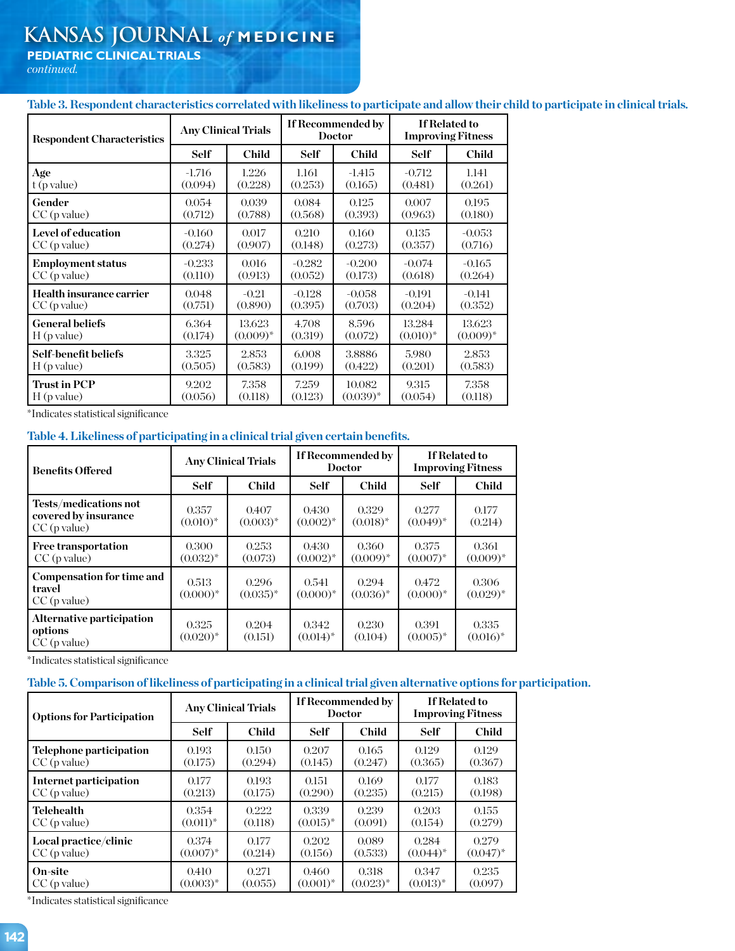# **KANSAS JOURNAL** *of* **MEDICINE**

**PEDIATRIC CLINICAL TRIALS** 

*continued.*

**Table 3. Respondent characteristics correlated with likeliness to participate and allow their child to participate in clinical trials.**

| <b>Respondent Characteristics</b> | <b>Any Clinical Trials</b> |              | If Recommended by<br><b>Doctor</b> |               | If Related to<br><b>Improving Fitness</b> |              |
|-----------------------------------|----------------------------|--------------|------------------------------------|---------------|-------------------------------------------|--------------|
|                                   | Self                       | <b>Child</b> | <b>Self</b>                        | <b>Child</b>  | <b>Self</b>                               | <b>Child</b> |
| Age                               | $-1.716$                   | 1.226        | 1.161                              | $-1.415$      | $-0.712$                                  | 1.141        |
| $t$ (p value)                     | (0.094)                    | (0.228)      | (0.253)                            | (0.165)       | (0.481)                                   | (0.261)      |
| Gender                            | 0.054                      | 0.039        | 0.084                              | 0.125         | 0.007                                     | 0.195        |
| $CC$ (p value)                    | (0.712)                    | (0.788)      | (0.568)                            | (0.393)       | (0.963)                                   | (0.180)      |
| Level of education                | $-0.160$                   | 0.017        | 0.210                              | 0.160         | 0.135                                     | $-0.053$     |
| $CC$ (p value)                    | (0.274)                    | (0.907)      | (0.148)                            | (0.273)       | (0.357)                                   | (0.716)      |
| <b>Employment status</b>          | $-0.233$                   | 0.016        | $-0.282$                           | $-0.200$      | $-0.074$                                  | $-0.165$     |
| $CC$ (p value)                    | (0.110)                    | (0.913)      | (0.052)                            | (0.173)       | (0.618)                                   | (0.264)      |
| Health insurance carrier          | 0.048                      | $-0.21$      | $-0.128$                           | $-0.058$      | $-0.191$                                  | $-0.141$     |
| $CC$ (p value)                    | (0.751)                    | (0.890)      | (0.395)                            | (0.703)       | (0.204)                                   | (0.352)      |
| <b>General beliefs</b>            | 6.364                      | 13.623       | 4.708                              | 8.596         | 13.284                                    | 13.623       |
| $H$ (p value)                     | (0.174)                    | $(0.009)^*$  | (0.319)                            | (0.072)       | $(0.010)^*$                               | $(0.009)^*$  |
| Self-benefit beliefs              | 3.325                      | 2.853        | 6.008                              | 3.8886        | 5.980                                     | 2.853        |
| $H$ (p value)                     | (0.505)                    | (0.583)      | (0.199)                            | (0.422)       | (0.201)                                   | (0.583)      |
| <b>Trust in PCP</b>               | 9.202                      | 7.358        | 7.259                              | 10.082        | 9.315                                     | 7.358        |
| $H$ (p value)                     | (0.056)                    | (0.118)      | (0.123)                            | $(0.039)^{*}$ | (0.054)                                   | (0.118)      |

\*Indicates statistical significance

# **Table 4. Likeliness of participating in a clinical trial given certain benefits.**

| <b>Benefits Offered</b>                                         | <b>Any Clinical Trials</b>      |                        | If Recommended by<br><b>Doctor</b> |                      | <b>If Related to</b><br><b>Improving Fitness</b> |                      |
|-----------------------------------------------------------------|---------------------------------|------------------------|------------------------------------|----------------------|--------------------------------------------------|----------------------|
|                                                                 | <b>Self</b>                     | <b>Child</b>           | <b>Self</b>                        | <b>Child</b>         | <b>Self</b>                                      | <b>Child</b>         |
| Tests/medications not<br>covered by insurance<br>$CC$ (p value) | 0.357<br>$(0.010)*$             | 0.407<br>$(0.003)^{*}$ | 0.430<br>$(0.002)^*$               | 0.329<br>$(0.018)^*$ | 0.277<br>$(0.049)^*$                             | 0.177<br>(0.214)     |
| <b>Free transportation</b><br>$CC$ (p value)                    | 0.300<br>$(0.032)^{*}$          | 0.253<br>(0.073)       | 0.430<br>$(0.002)^{*}$             | 0.360<br>$(0.009)^*$ | 0.375<br>$(0.007)^*$                             | 0.361<br>$(0.009)^*$ |
| <b>Compensation for time and</b><br>travel<br>$CC$ (p value)    | 0.513<br>$(0.000)^*$            | 0.296<br>$(0.035)^*$   | 0.541<br>$(0.000)*$                | 0.294<br>$(0.036)^*$ | 0.472<br>$(0.000)*$                              | 0.306<br>$(0.029)^*$ |
| Alternative participation<br>options<br>$CC$ (p value)          | 0.325<br>$(0.020)$ <sup>*</sup> | 0.204<br>(0.151)       | 0.342<br>$(0.014)^*$               | 0.230<br>(0.104)     | 0.391<br>$(0.005)^{*}$                           | 0.335<br>$(0.016)^*$ |

\*Indicates statistical significance

# **Table 5. Comparison of likeliness of participating in a clinical trial given alternative options for participation.**

| <b>Options for Participation</b> | <b>Any Clinical Trials</b> |              | If Recommended by<br><b>Doctor</b> |               | <b>If Related to</b><br><b>Improving Fitness</b> |               |
|----------------------------------|----------------------------|--------------|------------------------------------|---------------|--------------------------------------------------|---------------|
|                                  | <b>Self</b>                | <b>Child</b> | <b>Self</b>                        | <b>Child</b>  | Self                                             | <b>Child</b>  |
| Telephone participation          | 0.193                      | 0.150        | 0.207                              | 0.165         | 0.129                                            | 0.129         |
| $CC$ (p value)                   | (0.175)                    | (0.294)      | (0.145)                            | (0.247)       | (0.365)                                          | (0.367)       |
| Internet participation           | 0.177                      | 0.193        | 0.151                              | 0.169         | 0.177                                            | 0.183         |
| $CC$ (p value)                   | (0.213)                    | (0.175)      | (0.290)                            | (0.235)       | (0.215)                                          | (0.198)       |
| <b>Telehealth</b>                | 0.354                      | 0.222        | 0.339                              | 0.239         | 0.203                                            | 0.155         |
| $CC$ (p value)                   | $(0.011)^*$                | (0.118)      | $(0.015)^{*}$                      | (0.091)       | (0.154)                                          | (0.279)       |
| Local practice/clinic            | 0.374                      | 0.177        | 0.202                              | 0.089         | 0.284                                            | 0.279         |
| $CC$ (p value)                   | $(0.007)^*$                | (0.214)      | (0.156)                            | (0.533)       | $(0.044)^*$                                      | $(0.047)^{*}$ |
| On-site                          | 0.410                      | 0.271        | 0.460                              | 0.318         | 0.347                                            | 0.235         |
| $CC$ (p value)                   | $(0.003)^{*}$              | (0.055)      | $(0.001)^*$                        | $(0.023)^{*}$ | $(0.013)^{*}$                                    | (0.097)       |

\*Indicates statistical significance